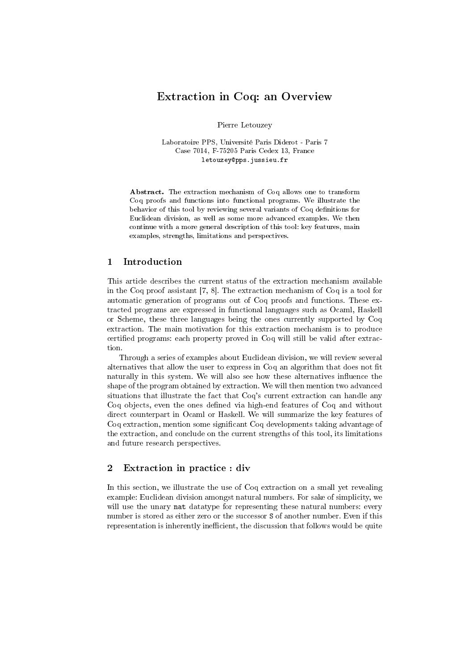# Extraction in Coq: an Overview

Pierre Letouzey

Laboratoire PPS, Université Paris Diderot - Paris 7 Case 7014, F-75205 Paris Cedex 13, France letouzey@pps.jussieu.fr

Abstract. The extraction mechanism of Coq allows one to transform Coq proofs and functions into functional programs. We illustrate the behavior of this tool by reviewing several variants of Coq definitions for Euclidean division, as well as some more advanced examples. We then continue with a more general description of this tool: key features, main examples, strengths, limitations and perspectives.

## 1 Introduction

This article describes the current status of the extraction mechanism available in the Coq proof assistant [7, 8]. The extraction mechanism of Coq is a tool for automatic generation of programs out of Coq proofs and functions. These extracted programs are expressed in functional languages such as Ocaml, Haskell or Scheme, these three languages being the ones currently supported by Coq extraction. The main motivation for this extraction mechanism is to produce certified programs: each property proved in Coq will still be valid after extraction.

Through a series of examples about Euclidean division, we will review several alternatives that allow the user to express in Coq an algorithm that does not fit naturally in this system. We will also see how these alternatives influence the shape of the program obtained by extraction. We will then mention two advanced situations that illustrate the fact that Coq's current extraction can handle any Coq objects, even the ones defined via high-end features of Coq and without direct counterpart in Ocaml or Haskell. We will summarize the key features of Coq extraction, mention some significant Coq developments taking advantage of the extraction, and conclude on the current strengths of this tool, its limitations and future research perspectives.

# 2 Extraction in practice : div

In this section, we illustrate the use of Coq extraction on a small yet revealing example: Euclidean division amongst natural numbers. For sake of simplicity, we will use the unary nat datatype for representing these natural numbers: every number is stored as either zero or the successor S of another number. Even if this representation is inherently inefficient, the discussion that follows would be quite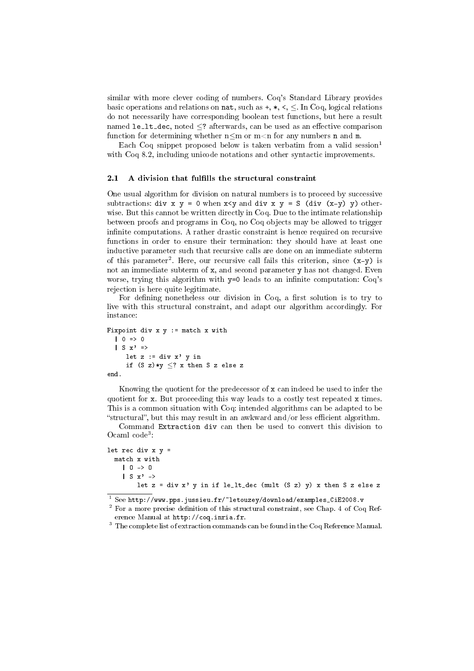similar with more clever coding of numbers. Coq's Standard Library provides basic operations and relations on  $nat$ , such as  $+, *, <, \le$ . In Coq, logical relations do not necessarily have corresponding boolean test functions, but here a result named le\_lt\_dec, noted  $\leq$ ? afterwards, can be used as an effective comparison function for determining whether  $n\leq m$  or  $m\leq n$  for any numbers n and m.

Each Coq snippet proposed below is taken verbatim from a valid session<sup>1</sup> with Coq 8.2, including unicode notations and other syntactic improvements.

#### 2.1 A division that fulfills the structural constraint

One usual algorithm for division on natural numbers is to proceed by successive subtractions: div x  $y = 0$  when  $x \leq y$  and div x  $y = S$  (div  $(x-y)$  y) otherwise. But this cannot be written directly in Coq. Due to the intimate relationship between proofs and programs in Coq, no Coq objects may be allowed to trigger infinite computations. A rather drastic constraint is hence required on recursive functions in order to ensure their termination: they should have at least one inductive parameter such that recursive calls are done on an immediate subterm of this parameter<sup>2</sup>. Here, our recursive call fails this criterion, since (x-y) is not an immediate subterm of x, and second parameter y has not changed. Even worse, trying this algorithm with  $y=0$  leads to an infinite computation: Coq's rejection is here quite legitimate.

For defining nonetheless our division in Coq, a first solution is to try to live with this structural constraint, and adapt our algorithm accordingly. For instance:

```
Fixpoint div x y := match x with
 | 0 \implies 0| S x' >let z := div x' y in
     if (S z)*y \leq? x then S z else z
end.
```
Knowing the quotient for the predecessor of x can indeed be used to infer the quotient for x. But proceeding this way leads to a costly test repeated x times. This is a common situation with Coq: intended algorithms can be adapted to be "structural", but this may result in an awkward and/or less efficient algorithm.

Command Extraction div can then be used to convert this division to Ocaml code<sup>3</sup>:

```
let rec div x =match x with
   | O -> O
    | S x' ->
       let z = div x' y in if le_lt_dec (mult (S z) y) x then S z else z
```
 $^{-1}$  See http://www.pps.jussieu.fr/~letouzey/download/examples\_CiE2008.v

<sup>&</sup>lt;sup>2</sup> For a more precise definition of this structural constraint, see Chap. 4 of Coq Reference Manual at http://coq.inria.fr.

<sup>3</sup> The complete list of extraction commands can be found in the Coq Reference Manual.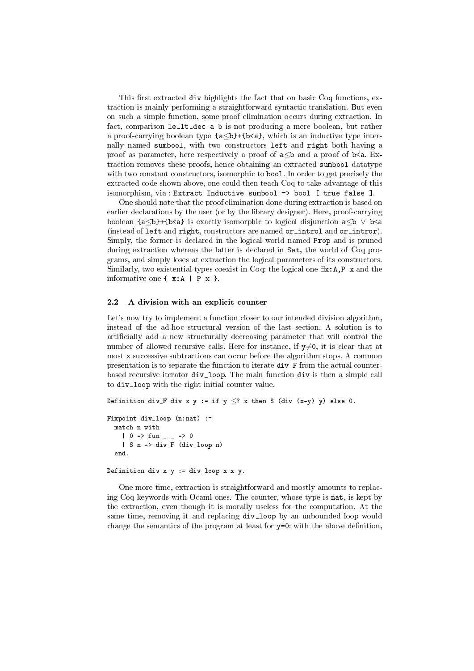This first extracted div highlights the fact that on basic Coq functions, extraction is mainly performing a straightforward syntactic translation. But even on such a simple function, some proof elimination occurs during extraction. In fact, comparison le\_1t\_dec a b is not producing a mere boolean, but rather a proof-carrying boolean type  ${a \leq b} + {b \leq a}$ , which is an inductive type internally named sumbool, with two constructors left and right both having a proof as parameter, here respectively a proof of  $a \leq b$  and a proof of  $b \leq a$ . Extraction removes these proofs, hence obtaining an extracted sumbool datatype with two constant constructors, isomorphic to bool. In order to get precisely the extracted code shown above, one could then teach Coq to take advantage of this isomorphism, via : Extract Inductive sumbool => bool [ true false ].

One should note that the proof elimination done during extraction is based on earlier declarations by the user (or by the library designer). Here, proof-carrying boolean {a≤b}+{b<a} is exactly isomorphic to logical disjunction a≤b ∨ b<a (instead of left and right, constructors are named or\_introl and or\_intror). Simply, the former is declared in the logical world named Prop and is pruned during extraction whereas the latter is declared in Set, the world of Coq programs, and simply loses at extraction the logical parameters of its constructors. Similarly, two existential types coexist in Coq: the logical one  $\exists x: A, P \ x$  and the informative one  $\{ x:A \mid P x \}$ .

## 2.2 A division with an explicit counter

Let's now try to implement a function closer to our intended division algorithm, instead of the ad-hoc structural version of the last section. A solution is to artificially add a new structurally decreasing parameter that will control the number of allowed recursive calls. Here for instance, if  $y\neq 0$ , it is clear that at most x successive subtractions can occur before the algorithm stops. A common presentation is to separate the function to iterate  $div$ F from the actual counterbased recursive iterator div\_loop. The main function div is then a simple call to div-loop with the right initial counter value.

```
Definition div_F div x y := if y \leq? x then S (div (x-y) y) else 0.
```

```
Fixpoint div_loop (n:nat) :=
  match n with
    | 0 \Rightarrow fun = = > 0
    | S n => div_F (div_loop n)
  end.
```
Definition div  $x$   $y$  := div\_loop  $x$   $x$   $y$ .

One more time, extraction is straightforward and mostly amounts to replacing Coq keywords with Ocaml ones. The counter, whose type is nat, is kept by the extraction, even though it is morally useless for the computation. At the same time, removing it and replacing  $div\_{loop}$  by an unbounded loop would change the semantics of the program at least for  $y=0$ : with the above definition,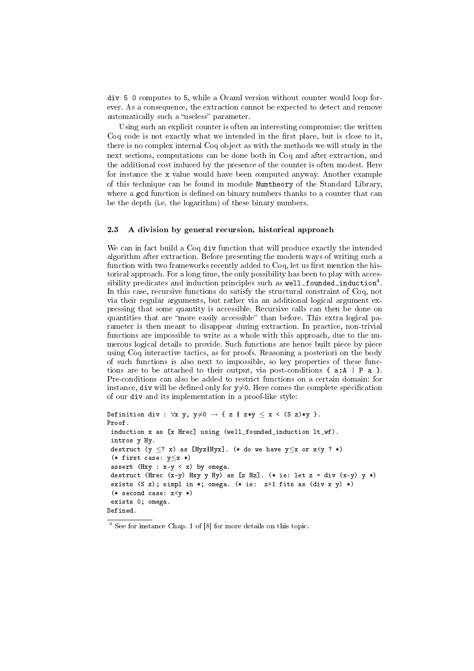div 5 0 computes to 5, while a Ocaml version without counter would loop forever. As a consequence, the extraction cannot be expected to detect and remove automatically such a "useless" parameter.

Using such an explicit counter is often an interesting compromise: the written Coq code is not exactly what we intended in the first place, but is close to it, there is no complex internal Coq object as with the methods we will study in the next sections, computations can be done both in Coq and after extraction, and the additional cost induced by the presence of the counter is often modest. Here for instance the x value would have been computed anyway. Another example of this technique can be found in module Numtheory of the Standard Library, where a gcd function is defined on binary numbers thanks to a counter that can be the depth (i.e. the logarithm) of these binary numbers.

### 2.3 A division by general recursion, historical approach

We can in fact build a Coq div function that will produce exactly the intended algorithm after extraction. Before presenting the modern ways of writing such a function with two frameworks recently added to Coq, let us first mention the historical approach. For a long time, the only possibility has been to play with accessibility predicates and induction principles such as well\_founded\_induction<sup>4</sup>. In this case, recursive functions do satisfy the structural constraint of Coq, not via their regular arguments, but rather via an additional logical argument expressing that some quantity is accessible. Recursive calls can then be done on quantities that are "more easily accessible" than before. This extra logical parameter is then meant to disappear during extraction. In practice, non-trivial functions are impossible to write as a whole with this approach, due to the numerous logical details to provide. Such functions are hence built piece by piece using Coq interactive tactics, as for proofs. Reasoning a posteriori on the body of such functions is also next to impossible, so key properties of these functions are to be attached to their output, via post-conditions  $\{a:A \mid P \text{ a } \}$ . Pre-conditions can also be added to restrict functions on a certain domain: for instance, div will be defined only for  $y\neq 0$ . Here comes the complete specification of our div and its implementation in a proof-like style:

Definition div :  $\forall x \ y, y \neq 0 \rightarrow \{ z | z \ast y \leq x \leq (S z) \ast y \}$ . Proof. induction x as [x Hrec] using (well\_founded\_induction lt\_wf). intros y Hy. destruct (y  $\leq$ ? x) as [Hyx|Hyx]. (\* do we have y $\leq$ x or x<y ? \*) (\* first case: y≤x \*) assert  $(Hxy : x-y < x)$  by omega. destruct (Hrec  $(x-y)$  Hxy y Hy) as [z Hz].  $(*)$  ie: let  $z = div (x-y) y *)$ exists  $(S z)$ ; simpl in \*; omega.  $(*$  ie:  $z+1$  fits as  $(\text{div } x y) *$ ) (\* second case: x<y \*) exists 0; omega. Defined.

<sup>4</sup> See for instance Chap. 1 of [8] for more details on this topic.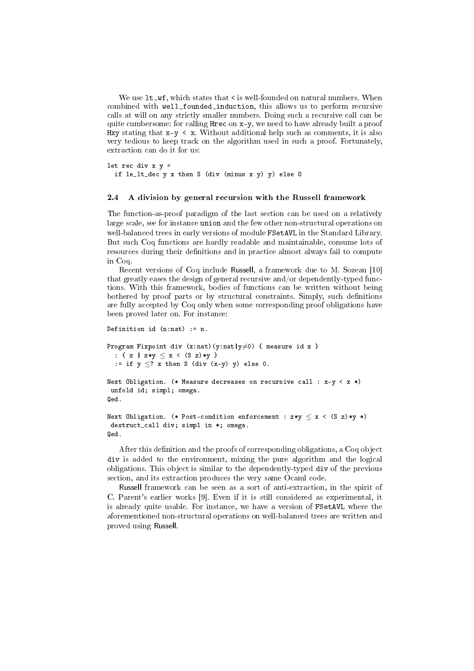We use  $lt\_wf$ , which states that  $\lt$  is well-founded on natural numbers. When combined with well founded induction, this allows us to perform recursive calls at will on any strictly smaller numbers. Doing such a recursive call can be quite cumbersome: for calling Hrec on x-y, we need to have already built a proof Hxy stating that  $x-y < x$ . Without additional help such as comments, it is also very tedious to keep track on the algorithm used in such a proof. Fortunately, extraction can do it for us:

let rec div  $x = y$ if le\_lt\_dec y x then S (div (minus x y) y) else O

#### 2.4 A division by general recursion with the Russell framework

The function-as-proof paradigm of the last section can be used on a relatively large scale, see for instance union and the few other non-structural operations on well-balanced trees in early versions of module FSetAVL in the Standard Library. But such Coq functions are hardly readable and maintainable, consume lots of resources during their definitions and in practice almost always fail to compute in Coq.

Recent versions of Coq include Russell, a framework due to M. Sozeau [10] that greatly eases the design of general recursive and/or dependently-typed functions. With this framework, bodies of functions can be written without being bothered by proof parts or by structural constraints. Simply, such definitions are fully accepted by Coq only when some corresponding proof obligations have been proved later on. For instance:

```
Definition id (n:nat) := n.
Program Fixpoint div (x:nat)(y:nat|y\neq0) { measure id x }
  : { z | z*y < x < (S z)*y }
  := if y \leq ? x then S (div (x-y) y) else 0.
Next Obligation. (* Measure decreases on recursive call : x-y \le x *)
 unfold id; simpl; omega.
Qed.
Next Obligation. (* Post-condition enforcement : z*y \leq x < (S z)*y *)
destruct_call div; simpl in *; omega.
Qed.
```
After this definition and the proofs of corresponding obligations, a Coq object div is added to the environment, mixing the pure algorithm and the logical obligations. This object is similar to the dependently-typed div of the previous section, and its extraction produces the very same Ocaml code.

Russell framework can be seen as a sort of anti-extraction, in the spirit of C. Parent's earlier works [9]. Even if it is still considered as experimental, it is already quite usable. For instance, we have a version of FSetAVL where the aforementioned non-structural operations on well-balanced trees are written and proved using Russell.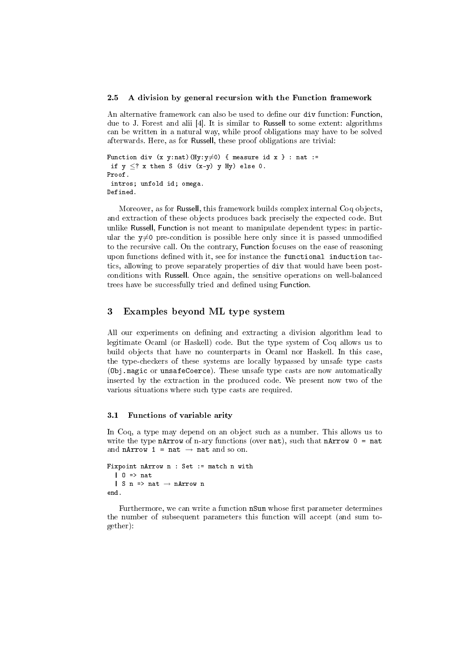#### 2.5 A division by general recursion with the Function framework

An alternative framework can also be used to define our div function: Function, due to J. Forest and alii [4]. It is similar to Russell to some extent: algorithms can be written in a natural way, while proof obligations may have to be solved afterwards. Here, as for Russell, these proof obligations are trivial:

```
Function div (x y:nat)(Hy:y\neq0) { measure id x } : nat :=
 if y \leq ? x then S (div (x-y) y Hy) else 0.
Proof.
 intros; unfold id; omega.
Defined.
```
Moreover, as for Russell, this framework builds complex internal Coq objects, and extraction of these objects produces back precisely the expected code. But unlike Russell, Function is not meant to manipulate dependent types: in particular the  $y\neq 0$  pre-condition is possible here only since it is passed unmodified to the recursive call. On the contrary, Function focuses on the ease of reasoning upon functions defined with it, see for instance the functional induction tactics, allowing to prove separately properties of div that would have been postconditions with Russell. Once again, the sensitive operations on well-balanced trees have be successfully tried and defined using Function.

# 3 Examples beyond ML type system

All our experiments on defining and extracting a division algorithm lead to legitimate Ocaml (or Haskell) code. But the type system of Coq allows us to build objects that have no counterparts in Ocaml nor Haskell. In this case, the type-checkers of these systems are locally bypassed by unsafe type casts (Obj.magic or unsafeCoerce). These unsafe type casts are now automatically inserted by the extraction in the produced code. We present now two of the various situations where such type casts are required.

#### 3.1 Functions of variable arity

In Coq, a type may depend on an object such as a number. This allows us to write the type nArrow of n-ary functions (over  $nat$ ), such that nArrow  $0 = nat$ and nArrow  $1 = \text{nat} \rightarrow \text{nat}$  and so on.

```
Fixpoint nArrow n : Set := match n with
  | 0 \Rightarrow nat
  | S n => nat \rightarrow nArrow n
end.
```
Furthermore, we can write a function nSum whose first parameter determines the number of subsequent parameters this function will accept (and sum together):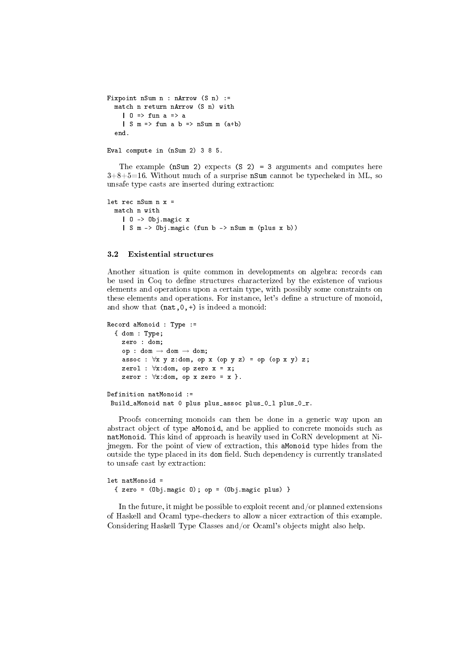```
Fixpoint nSum n : nArrow (S n) :=
  match n return nArrow (S n) with
    | 0 \Rightarrow fun a => a
    | S m => fun a b => nSum m (a+b)
  end.
```
Eval compute in (nSum 2) 3 8 5.

The example  $(nSum 2)$  expects  $(S 2) = 3$  arguments and computes here  $3+8+5=16$ . Without much of a surprise nSum cannot be typecheked in ML, so unsafe type casts are inserted during extraction:

```
let rec nSum n x =
 match n with
    | 0 \rangle -> Obj. magic x
    | S m -> Obj.magic (fun b -> nSum m (plus x b))
```
#### 3.2 Existential structures

Another situation is quite common in developments on algebra: records can be used in Coq to dene structures characterized by the existence of various elements and operations upon a certain type, with possibly some constraints on these elements and operations. For instance, let's define a structure of monoid, and show that  $(nat,0,+)$  is indeed a monoid:

```
Record aMonoid : Type :=
  { dom : Type;
    zero : dom;
    op : dom → dom → dom;
    assoc : \forall x \ y \ z: dom, op x (op y z) = op (op x y) z;zerol : \forall x: dom, op zero x = x;zeror : \forall x: dom, op x zero = x }.
Definition natMonoid :=
```

```
Build_aMonoid nat 0 plus plus_assoc plus_0_l plus_0_r.
```
Proofs concerning monoids can then be done in a generic way upon an abstract object of type aMonoid, and be applied to concrete monoids such as natMonoid. This kind of approach is heavily used in CoRN development at Nijmegen. For the point of view of extraction, this aMonoid type hides from the outside the type placed in its dom field. Such dependency is currently translated to unsafe cast by extraction:

```
let natMonoid =
   \{ \text{zero} = (0 \text{bj} \cdot \text{magic } 0); \text{ op} = (0 \text{bj} \cdot \text{magic plus}) \}
```
In the future, it might be possible to exploit recent and/or planned extensions of Haskell and Ocaml type-checkers to allow a nicer extraction of this example. Considering Haskell Type Classes and/or Ocaml's objects might also help.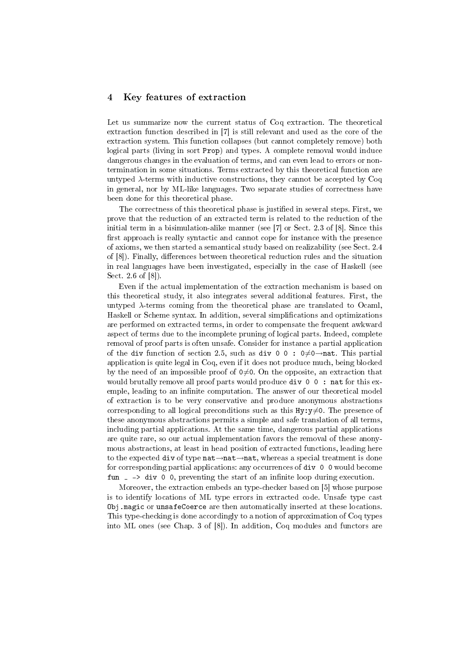### 4 Key features of extraction

Let us summarize now the current status of Coq extraction. The theoretical extraction function described in [7] is still relevant and used as the core of the extraction system. This function collapses (but cannot completely remove) both logical parts (living in sort Prop) and types. A complete removal would induce dangerous changes in the evaluation of terms, and can even lead to errors or nontermination in some situations. Terms extracted by this theoretical function are untyped  $\lambda$ -terms with inductive constructions, they cannot be accepted by Coq in general, nor by ML-like languages. Two separate studies of correctness have been done for this theoretical phase.

The correctness of this theoretical phase is justified in several steps. First, we prove that the reduction of an extracted term is related to the reduction of the initial term in a bisimulation-alike manner (see [7] or Sect. 2.3 of [8]. Since this first approach is really syntactic and cannot cope for instance with the presence of axioms, we then started a semantical study based on realizability (see Sect. 2.4 of [8]). Finally, differences between theoretical reduction rules and the situation in real languages have been investigated, especially in the case of Haskell (see Sect. 2.6 of [8]).

Even if the actual implementation of the extraction mechanism is based on this theoretical study, it also integrates several additional features. First, the untyped  $\lambda$ -terms coming from the theoretical phase are translated to Ocaml, Haskell or Scheme syntax. In addition, several simplications and optimizations are performed on extracted terms, in order to compensate the frequent awkward aspect of terms due to the incomplete pruning of logical parts. Indeed, complete removal of proof parts is often unsafe. Consider for instance a partial application of the div function of section 2.5, such as div 0 0 :  $0 \neq 0 \rightarrow$ nat. This partial application is quite legal in Coq, even if it does not produce much, being blocked by the need of an impossible proof of  $0\neq 0$ . On the opposite, an extraction that would brutally remove all proof parts would produce div 0 0 : nat for this exemple, leading to an infinite computation. The answer of our theoretical model of extraction is to be very conservative and produce anonymous abstractions corresponding to all logical preconditions such as this  $Hy: y\neq 0$ . The presence of these anonymous abstractions permits a simple and safe translation of all terms, including partial applications. At the same time, dangerous partial applications are quite rare, so our actual implementation favors the removal of these anonymous abstractions, at least in head position of extracted functions, leading here to the expected div of type nat→nat→nat, whereas a special treatment is done for corresponding partial applications: any occurrences of div 0 0 would become fun  $\sim$  -> div 0 0, preventing the start of an infinite loop during execution.

Moreover, the extraction embeds an type-checker based on [5] whose purpose is to identify locations of ML type errors in extracted code. Unsafe type cast Obj.magic or unsafeCoerce are then automatically inserted at these locations. This type-checking is done accordingly to a notion of approximation of Coq types into ML ones (see Chap. 3 of [8]). In addition, Coq modules and functors are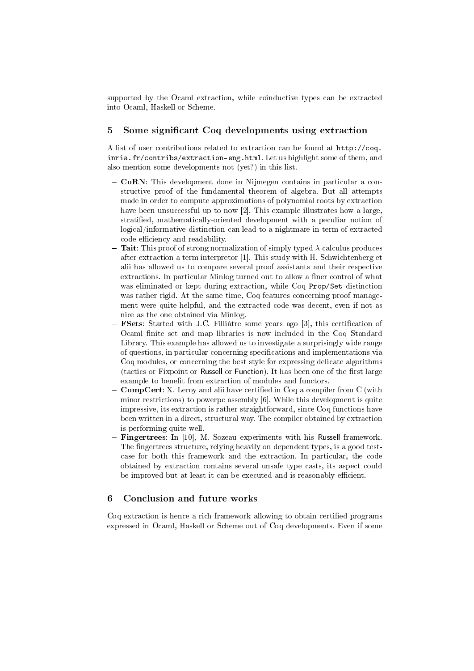supported by the Ocaml extraction, while coinductive types can be extracted into Ocaml, Haskell or Scheme.

# 5 Some signicant Coq developments using extraction

A list of user contributions related to extraction can be found at http://coq. inria.fr/contribs/extraction-eng.html. Let us highlight some of them, and also mention some developments not (yet?) in this list.

- CoRN: This development done in Nijmegen contains in particular a constructive proof of the fundamental theorem of algebra. But all attempts made in order to compute approximations of polynomial roots by extraction have been unsuccessful up to now [2]. This example illustrates how a large, stratified, mathematically-oriented development with a peculiar notion of logical/informative distinction can lead to a nightmare in term of extracted code efficiency and readability.
- $-$  Tait: This proof of strong normalization of simply typed  $\lambda$ -calculus produces after extraction a term interpretor [1]. This study with H. Schwichtenberg et alii has allowed us to compare several proof assistants and their respective extractions. In particular Minlog turned out to allow a finer control of what was eliminated or kept during extraction, while Coq Prop/Set distinction was rather rigid. At the same time, Coq features concerning proof management were quite helpful, and the extracted code was decent, even if not as nice as the one obtained via Minlog.
- $-$  **FSets**: Started with J.C. Filliatre some years ago [3], this certification of Ocaml finite set and map libraries is now included in the Coq Standard Library. This example has allowed us to investigate a surprisingly wide range of questions, in particular concerning specifications and implementations via Coq modules, or concerning the best style for expressing delicate algorithms (tactics or Fixpoint or Russell or Function). It has been one of the first large example to benefit from extraction of modules and functors.
- CompCert: X. Leroy and alii have certified in Coq a compiler from C (with minor restrictions) to powerpc assembly [6]. While this development is quite impressive, its extraction is rather straightforward, since Coq functions have been written in a direct, structural way. The compiler obtained by extraction is performing quite well.
- Fingertrees: In [10], M. Sozeau experiments with his Russell framework. The fingertrees structure, relying heavily on dependent types, is a good testcase for both this framework and the extraction. In particular, the code obtained by extraction contains several unsafe type casts, its aspect could be improved but at least it can be executed and is reasonably efficient.

# 6 Conclusion and future works

Coq extraction is hence a rich framework allowing to obtain certified programs expressed in Ocaml, Haskell or Scheme out of Coq developments. Even if some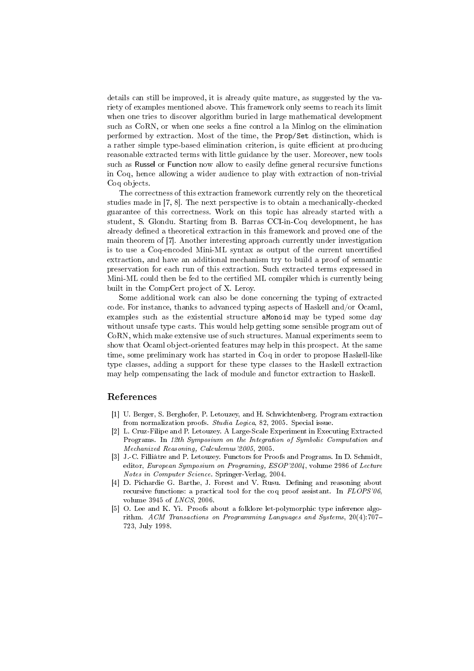details can still be improved, it is already quite mature, as suggested by the variety of examples mentioned above. This framework only seems to reach its limit when one tries to discover algorithm buried in large mathematical development such as CoRN, or when one seeks a fine control a la Minlog on the elimination performed by extraction. Most of the time, the Prop/Set distinction, which is a rather simple type-based elimination criterion, is quite efficient at producing reasonable extracted terms with little guidance by the user. Moreover, new tools such as Russel or Function now allow to easily define general recursive functions in Coq, hence allowing a wider audience to play with extraction of non-trivial Coq objects.

The correctness of this extraction framework currently rely on the theoretical studies made in [7, 8]. The next perspective is to obtain a mechanically-checked guarantee of this correctness. Work on this topic has already started with a student, S. Glondu. Starting from B. Barras CCI-in-Coq development, he has already defined a theoretical extraction in this framework and proved one of the main theorem of [7]. Another interesting approach currently under investigation is to use a Coq-encoded Mini-ML syntax as output of the current uncertified extraction, and have an additional mechanism try to build a proof of semantic preservation for each run of this extraction. Such extracted terms expressed in Mini-ML could then be fed to the certified ML compiler which is currently being built in the CompCert project of X. Leroy.

Some additional work can also be done concerning the typing of extracted code. For instance, thanks to advanced typing aspects of Haskell and/or Ocaml, examples such as the existential structure aMonoid may be typed some day without unsafe type casts. This would help getting some sensible program out of CoRN, which make extensive use of such structures. Manual experiments seem to show that Ocaml object-oriented features may help in this prospect. At the same time, some preliminary work has started in Coq in order to propose Haskell-like type classes, adding a support for these type classes to the Haskell extraction may help compensating the lack of module and functor extraction to Haskell.

### References

- [1] U. Berger, S. Berghofer, P. Letouzey, and H. Schwichtenberg. Program extraction from normalization proofs. Studia Logica, 82, 2005. Special issue.
- [2] L. Cruz-Filipe and P. Letouzey. A Large-Scale Experiment in Executing Extracted Programs. In 12th Symposium on the Integration of Symbolic Computation and Mechanized Reasoning, Calculemus'2005, 2005.
- [3] J.-C. Filliâtre and P. Letouzey. Functors for Proofs and Programs. In D. Schmidt, editor, European Symposium on Programing, ESOP'2004, volume 2986 of Lecture Notes in Computer Science. Springer-Verlag, 2004.
- [4] D. Pichardie G. Barthe, J. Forest and V. Rusu. Defining and reasoning about recursive functions: a practical tool for the coq proof assistant. In FLOPS'06, volume 3945 of LNCS, 2006.
- [5] O. Lee and K. Yi. Proofs about a folklore let-polymorphic type inference algorithm. ACM Transactions on Programming Languages and Systems, 20(4):707 723, July 1998.